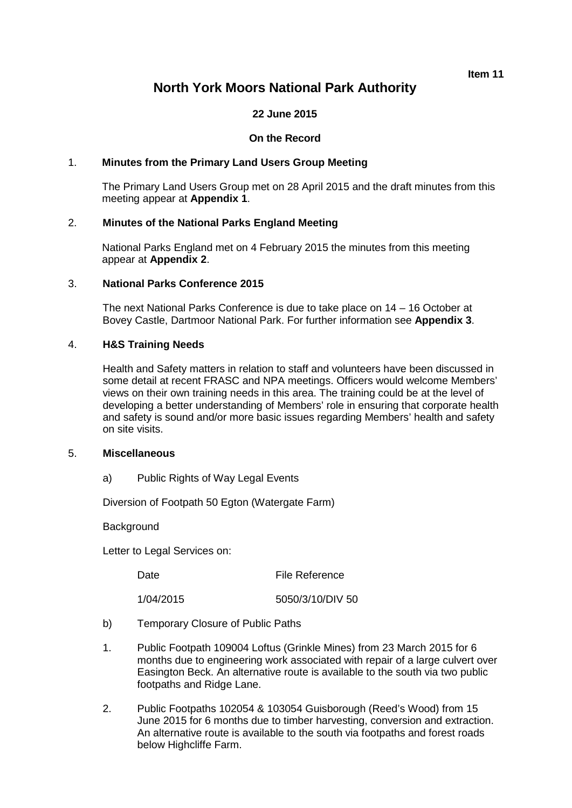**Item 11**

# **North York Moors National Park Authority**

### **22 June 2015**

### **On the Record**

### 1. **Minutes from the Primary Land Users Group Meeting**

The Primary Land Users Group met on 28 April 2015 and the draft minutes from this meeting appear at **Appendix 1**.

### 2. **Minutes of the National Parks England Meeting**

National Parks England met on 4 February 2015 the minutes from this meeting appear at **Appendix 2**.

### 3. **National Parks Conference 2015**

The next National Parks Conference is due to take place on 14 – 16 October at Bovey Castle, Dartmoor National Park. For further information see **Appendix 3**.

### 4. **H&S Training Needs**

Health and Safety matters in relation to staff and volunteers have been discussed in some detail at recent FRASC and NPA meetings. Officers would welcome Members' views on their own training needs in this area. The training could be at the level of developing a better understanding of Members' role in ensuring that corporate health and safety is sound and/or more basic issues regarding Members' health and safety on site visits.

### 5. **Miscellaneous**

a) Public Rights of Way Legal Events

Diversion of Footpath 50 Egton (Watergate Farm)

**Background** 

Letter to Legal Services on:

Date File Reference

1/04/2015 5050/3/10/DIV 50

- 
- b) Temporary Closure of Public Paths
- 1. Public Footpath 109004 Loftus (Grinkle Mines) from 23 March 2015 for 6 months due to engineering work associated with repair of a large culvert over Easington Beck. An alternative route is available to the south via two public footpaths and Ridge Lane.
- 2. Public Footpaths 102054 & 103054 Guisborough (Reed's Wood) from 15 June 2015 for 6 months due to timber harvesting, conversion and extraction. An alternative route is available to the south via footpaths and forest roads below Highcliffe Farm.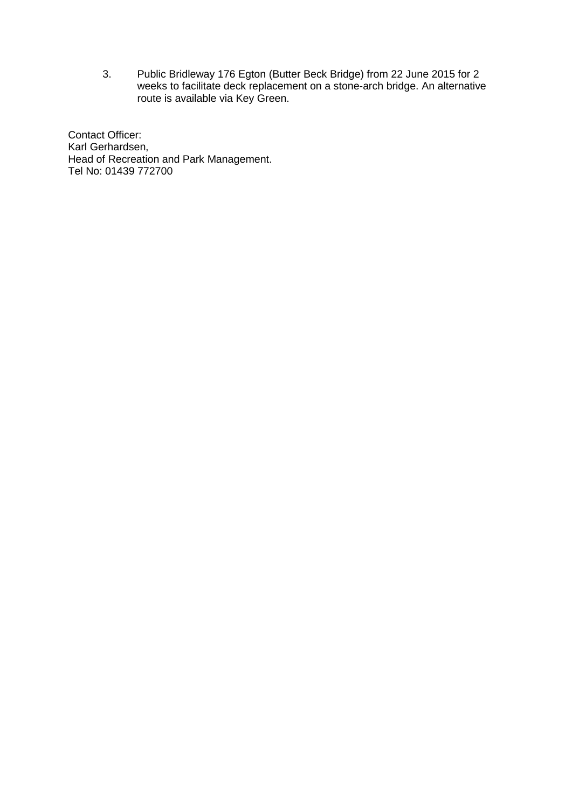3. Public Bridleway 176 Egton (Butter Beck Bridge) from 22 June 2015 for 2 weeks to facilitate deck replacement on a stone-arch bridge. An alternative route is available via Key Green.

Contact Officer: Karl Gerhardsen, Head of Recreation and Park Management. Tel No: 01439 772700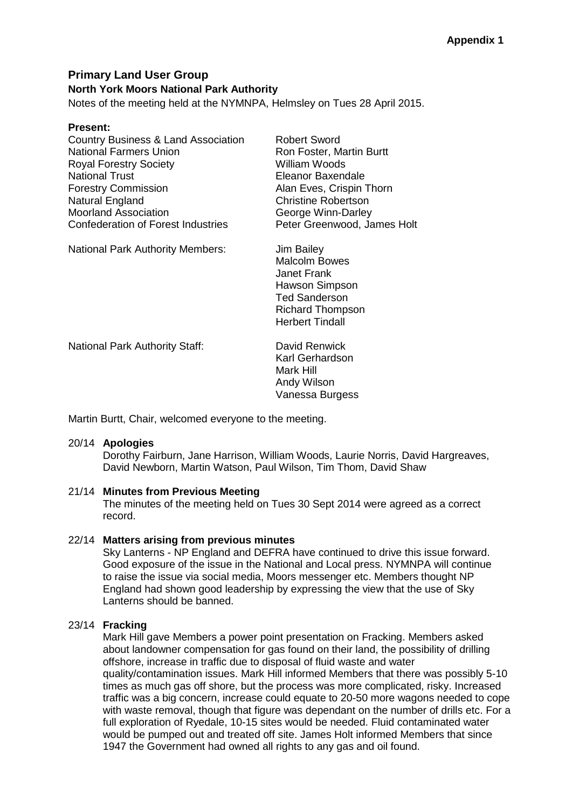## **Primary Land User Group North York Moors National Park Authority**

Notes of the meeting held at the NYMNPA, Helmsley on Tues 28 April 2015.

### **Present:**

| Country Business & Land Association       |
|-------------------------------------------|
| <b>National Farmers Union</b>             |
| <b>Royal Forestry Society</b>             |
| <b>National Trust</b>                     |
| <b>Forestry Commission</b>                |
| Natural England                           |
| <b>Moorland Association</b>               |
| <b>Confederation of Forest Industries</b> |
|                                           |

Robert Sword Ron Foster, Martin Burtt William Woods Fleanor Baxendale Alan Eves, Crispin Thorn Christine Robertson George Winn-Darley Peter Greenwood, James Holt

National Park Authority Members: Jim Bailey

Malcolm Bowes Janet Frank Hawson Simpson Ted Sanderson Richard Thompson Herbert Tindall

National Park Authority Staff: David Renwick

Karl Gerhardson Mark Hill Andy Wilson Vanessa Burgess

Martin Burtt, Chair, welcomed everyone to the meeting.

### 20/14 **Apologies**

Dorothy Fairburn, Jane Harrison, William Woods, Laurie Norris, David Hargreaves, David Newborn, Martin Watson, Paul Wilson, Tim Thom, David Shaw

### 21/14 **Minutes from Previous Meeting**

The minutes of the meeting held on Tues 30 Sept 2014 were agreed as a correct record.

### 22/14 **Matters arising from previous minutes**

Sky Lanterns - NP England and DEFRA have continued to drive this issue forward. Good exposure of the issue in the National and Local press. NYMNPA will continue to raise the issue via social media, Moors messenger etc. Members thought NP England had shown good leadership by expressing the view that the use of Sky Lanterns should be banned.

### 23/14 **Fracking**

Mark Hill gave Members a power point presentation on Fracking. Members asked about landowner compensation for gas found on their land, the possibility of drilling offshore, increase in traffic due to disposal of fluid waste and water quality/contamination issues. Mark Hill informed Members that there was possibly 5-10 times as much gas off shore, but the process was more complicated, risky. Increased traffic was a big concern, increase could equate to 20-50 more wagons needed to cope with waste removal, though that figure was dependant on the number of drills etc. For a full exploration of Ryedale, 10-15 sites would be needed. Fluid contaminated water would be pumped out and treated off site. James Holt informed Members that since 1947 the Government had owned all rights to any gas and oil found.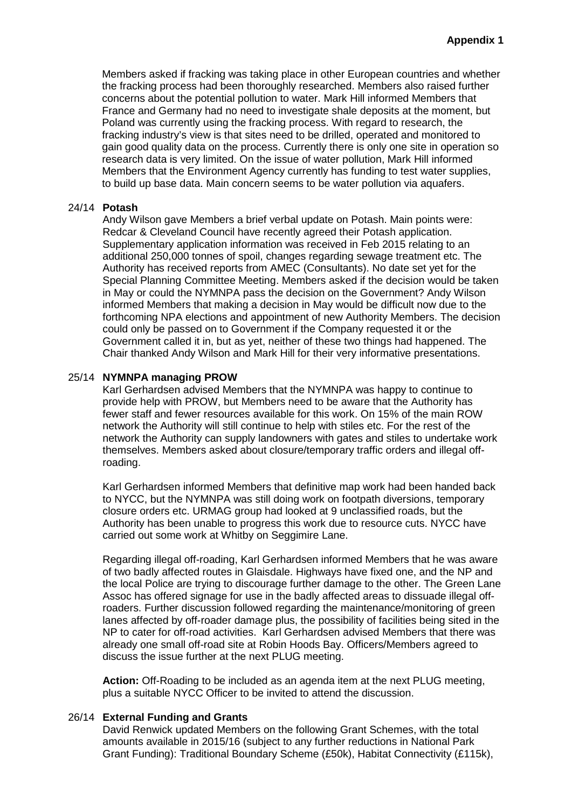Members asked if fracking was taking place in other European countries and whether the fracking process had been thoroughly researched. Members also raised further concerns about the potential pollution to water. Mark Hill informed Members that France and Germany had no need to investigate shale deposits at the moment, but Poland was currently using the fracking process. With regard to research, the fracking industry's view is that sites need to be drilled, operated and monitored to gain good quality data on the process. Currently there is only one site in operation so research data is very limited. On the issue of water pollution, Mark Hill informed Members that the Environment Agency currently has funding to test water supplies, to build up base data. Main concern seems to be water pollution via aquafers.

#### 24/14 **Potash**

Andy Wilson gave Members a brief verbal update on Potash. Main points were: Redcar & Cleveland Council have recently agreed their Potash application. Supplementary application information was received in Feb 2015 relating to an additional 250,000 tonnes of spoil, changes regarding sewage treatment etc. The Authority has received reports from AMEC (Consultants). No date set yet for the Special Planning Committee Meeting. Members asked if the decision would be taken in May or could the NYMNPA pass the decision on the Government? Andy Wilson informed Members that making a decision in May would be difficult now due to the forthcoming NPA elections and appointment of new Authority Members. The decision could only be passed on to Government if the Company requested it or the Government called it in, but as yet, neither of these two things had happened. The Chair thanked Andy Wilson and Mark Hill for their very informative presentations.

### 25/14 **NYMNPA managing PROW**

Karl Gerhardsen advised Members that the NYMNPA was happy to continue to provide help with PROW, but Members need to be aware that the Authority has fewer staff and fewer resources available for this work. On 15% of the main ROW network the Authority will still continue to help with stiles etc. For the rest of the network the Authority can supply landowners with gates and stiles to undertake work themselves. Members asked about closure/temporary traffic orders and illegal offroading.

Karl Gerhardsen informed Members that definitive map work had been handed back to NYCC, but the NYMNPA was still doing work on footpath diversions, temporary closure orders etc. URMAG group had looked at 9 unclassified roads, but the Authority has been unable to progress this work due to resource cuts. NYCC have carried out some work at Whitby on Seggimire Lane.

Regarding illegal off-roading, Karl Gerhardsen informed Members that he was aware of two badly affected routes in Glaisdale. Highways have fixed one, and the NP and the local Police are trying to discourage further damage to the other. The Green Lane Assoc has offered signage for use in the badly affected areas to dissuade illegal offroaders. Further discussion followed regarding the maintenance/monitoring of green lanes affected by off-roader damage plus, the possibility of facilities being sited in the NP to cater for off-road activities. Karl Gerhardsen advised Members that there was already one small off-road site at Robin Hoods Bay. Officers/Members agreed to discuss the issue further at the next PLUG meeting.

**Action:** Off-Roading to be included as an agenda item at the next PLUG meeting, plus a suitable NYCC Officer to be invited to attend the discussion.

### 26/14 **External Funding and Grants**

David Renwick updated Members on the following Grant Schemes, with the total amounts available in 2015/16 (subject to any further reductions in National Park Grant Funding): Traditional Boundary Scheme (£50k), Habitat Connectivity (£115k),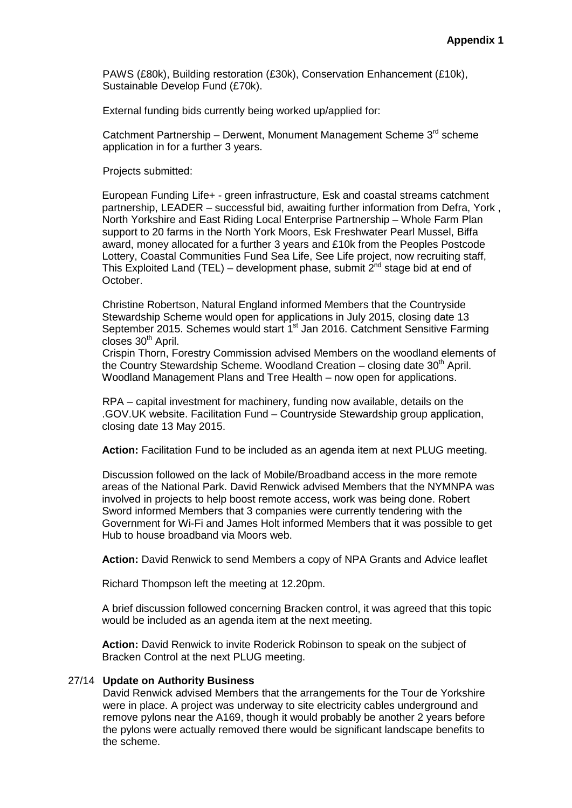PAWS (£80k), Building restoration (£30k), Conservation Enhancement (£10k), Sustainable Develop Fund (£70k).

External funding bids currently being worked up/applied for:

Catchment Partnership – Derwent, Monument Management Scheme 3<sup>rd</sup> scheme application in for a further 3 years.

Projects submitted:

European Funding Life+ - green infrastructure, Esk and coastal streams catchment partnership, LEADER – successful bid, awaiting further information from Defra, York , North Yorkshire and East Riding Local Enterprise Partnership – Whole Farm Plan support to 20 farms in the North York Moors, Esk Freshwater Pearl Mussel, Biffa award, money allocated for a further 3 years and £10k from the Peoples Postcode Lottery, Coastal Communities Fund Sea Life, See Life project, now recruiting staff, This Exploited Land (TEL) – development phase, submit  $2^{nd}$  stage bid at end of October.

Christine Robertson, Natural England informed Members that the Countryside Stewardship Scheme would open for applications in July 2015, closing date 13 September 2015. Schemes would start 1<sup>st</sup> Jan 2016. Catchment Sensitive Farming closes  $30<sup>th</sup>$  April.

Crispin Thorn, Forestry Commission advised Members on the woodland elements of the Country Stewardship Scheme. Woodland Creation  $-$  closing date 30<sup>th</sup> April. Woodland Management Plans and Tree Health – now open for applications.

RPA – capital investment for machinery, funding now available, details on the .GOV.UK website. Facilitation Fund – Countryside Stewardship group application, closing date 13 May 2015.

**Action:** Facilitation Fund to be included as an agenda item at next PLUG meeting.

Discussion followed on the lack of Mobile/Broadband access in the more remote areas of the National Park. David Renwick advised Members that the NYMNPA was involved in projects to help boost remote access, work was being done. Robert Sword informed Members that 3 companies were currently tendering with the Government for Wi-Fi and James Holt informed Members that it was possible to get Hub to house broadband via Moors web.

**Action:** David Renwick to send Members a copy of NPA Grants and Advice leaflet

Richard Thompson left the meeting at 12.20pm.

A brief discussion followed concerning Bracken control, it was agreed that this topic would be included as an agenda item at the next meeting.

**Action:** David Renwick to invite Roderick Robinson to speak on the subject of Bracken Control at the next PLUG meeting.

#### 27/14 **Update on Authority Business**

David Renwick advised Members that the arrangements for the Tour de Yorkshire were in place. A project was underway to site electricity cables underground and remove pylons near the A169, though it would probably be another 2 years before the pylons were actually removed there would be significant landscape benefits to the scheme.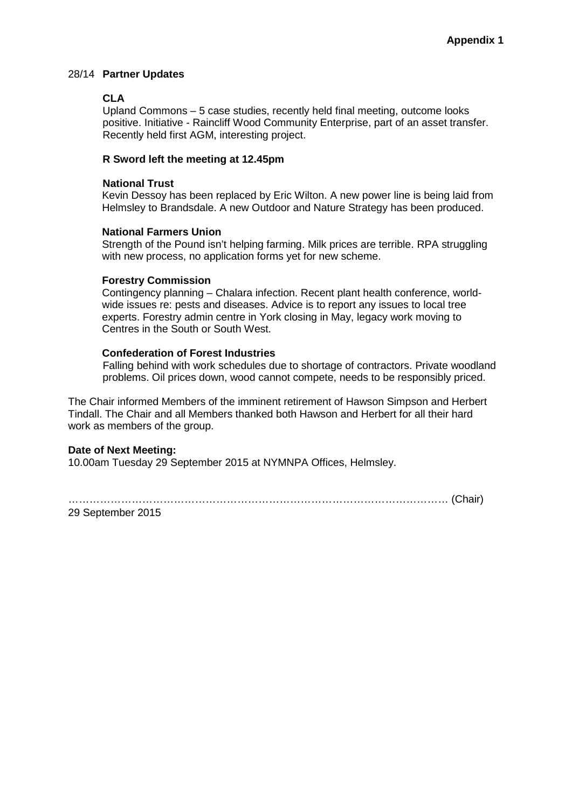### 28/14 **Partner Updates**

### **CLA**

Upland Commons – 5 case studies, recently held final meeting, outcome looks positive. Initiative - Raincliff Wood Community Enterprise, part of an asset transfer. Recently held first AGM, interesting project.

#### **R Sword left the meeting at 12.45pm**

#### **National Trust**

Kevin Dessoy has been replaced by Eric Wilton. A new power line is being laid from Helmsley to Brandsdale. A new Outdoor and Nature Strategy has been produced.

#### **National Farmers Union**

Strength of the Pound isn't helping farming. Milk prices are terrible. RPA struggling with new process, no application forms yet for new scheme.

### **Forestry Commission**

Contingency planning – Chalara infection. Recent plant health conference, worldwide issues re: pests and diseases. Advice is to report any issues to local tree experts. Forestry admin centre in York closing in May, legacy work moving to Centres in the South or South West.

### **Confederation of Forest Industries**

Falling behind with work schedules due to shortage of contractors. Private woodland problems. Oil prices down, wood cannot compete, needs to be responsibly priced.

The Chair informed Members of the imminent retirement of Hawson Simpson and Herbert Tindall. The Chair and all Members thanked both Hawson and Herbert for all their hard work as members of the group.

### **Date of Next Meeting:**

10.00am Tuesday 29 September 2015 at NYMNPA Offices, Helmsley.

……………………………………………………………………………………………… (Chair)

29 September 2015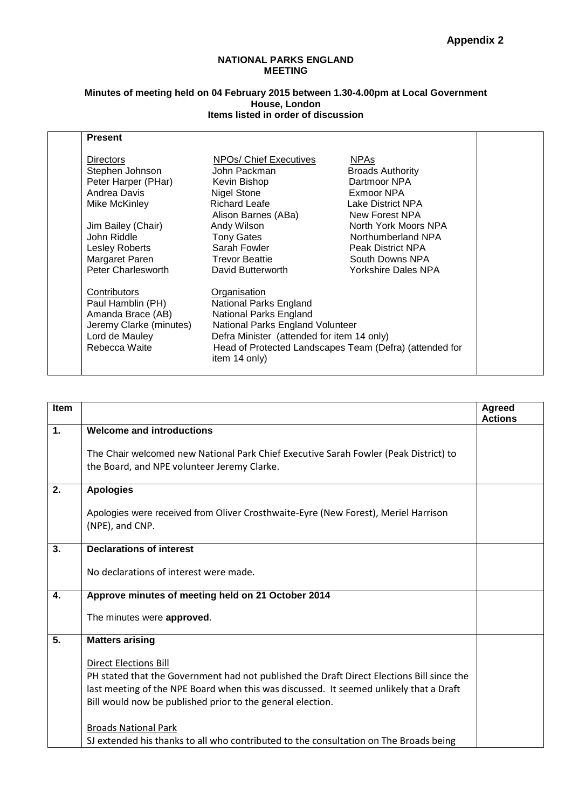#### **NATIONAL PARKS ENGLAND MEETING**

#### **Minutes of meeting held on 04 February 2015 between 1.30-4.00pm at Local Government House, London Items listed in order of discussion**

| <b>Present</b>          |                                                                                                                                    |                          |  |
|-------------------------|------------------------------------------------------------------------------------------------------------------------------------|--------------------------|--|
| <b>Directors</b>        | NPOs/ Chief Executives                                                                                                             | <b>NPAs</b>              |  |
| Stephen Johnson         | John Packman                                                                                                                       | <b>Broads Authority</b>  |  |
| Peter Harper (PHar)     | Kevin Bishop                                                                                                                       | Dartmoor NPA             |  |
| Andrea Davis            | <b>Nigel Stone</b>                                                                                                                 | Exmoor NPA               |  |
| Mike McKinley           | <b>Richard Leafe</b>                                                                                                               | Lake District NPA        |  |
|                         | Alison Barnes (ABa)                                                                                                                | New Forest NPA           |  |
| Jim Bailey (Chair)      | Andy Wilson                                                                                                                        | North York Moors NPA     |  |
| John Riddle             | <b>Tony Gates</b>                                                                                                                  | Northumberland NPA       |  |
| Lesley Roberts          | Sarah Fowler                                                                                                                       | <b>Peak District NPA</b> |  |
| Margaret Paren          | <b>Trevor Beattie</b>                                                                                                              | South Downs NPA          |  |
| Peter Charlesworth      | David Butterworth                                                                                                                  | Yorkshire Dales NPA      |  |
| Contributors            | Organisation                                                                                                                       |                          |  |
| Paul Hamblin (PH)       | National Parks England<br>National Parks England<br>National Parks England Volunteer<br>Defra Minister (attended for item 14 only) |                          |  |
| Amanda Brace (AB)       |                                                                                                                                    |                          |  |
| Jeremy Clarke (minutes) |                                                                                                                                    |                          |  |
| Lord de Mauley          |                                                                                                                                    |                          |  |
| Rebecca Waite           | Head of Protected Landscapes Team (Defra) (attended for<br>item 14 only)                                                           |                          |  |

| Item             |                                                                                           | <b>Agreed</b>  |
|------------------|-------------------------------------------------------------------------------------------|----------------|
|                  |                                                                                           | <b>Actions</b> |
| $\mathbf{1}$ .   | <b>Welcome and introductions</b>                                                          |                |
|                  |                                                                                           |                |
|                  | The Chair welcomed new National Park Chief Executive Sarah Fowler (Peak District) to      |                |
|                  | the Board, and NPE volunteer Jeremy Clarke.                                               |                |
|                  |                                                                                           |                |
| 2.               | <b>Apologies</b>                                                                          |                |
|                  |                                                                                           |                |
|                  | Apologies were received from Oliver Crosthwaite-Eyre (New Forest), Meriel Harrison        |                |
|                  | (NPE), and CNP.                                                                           |                |
|                  |                                                                                           |                |
| 3.               | <b>Declarations of interest</b>                                                           |                |
|                  |                                                                                           |                |
|                  | No declarations of interest were made.                                                    |                |
|                  |                                                                                           |                |
| 4.               | Approve minutes of meeting held on 21 October 2014                                        |                |
|                  |                                                                                           |                |
|                  | The minutes were approved.                                                                |                |
| $\overline{5}$ . | <b>Matters arising</b>                                                                    |                |
|                  |                                                                                           |                |
|                  | <b>Direct Elections Bill</b>                                                              |                |
|                  | PH stated that the Government had not published the Draft Direct Elections Bill since the |                |
|                  |                                                                                           |                |
|                  | last meeting of the NPE Board when this was discussed. It seemed unlikely that a Draft    |                |
|                  | Bill would now be published prior to the general election.                                |                |
|                  |                                                                                           |                |
|                  | <b>Broads National Park</b>                                                               |                |
|                  | SJ extended his thanks to all who contributed to the consultation on The Broads being     |                |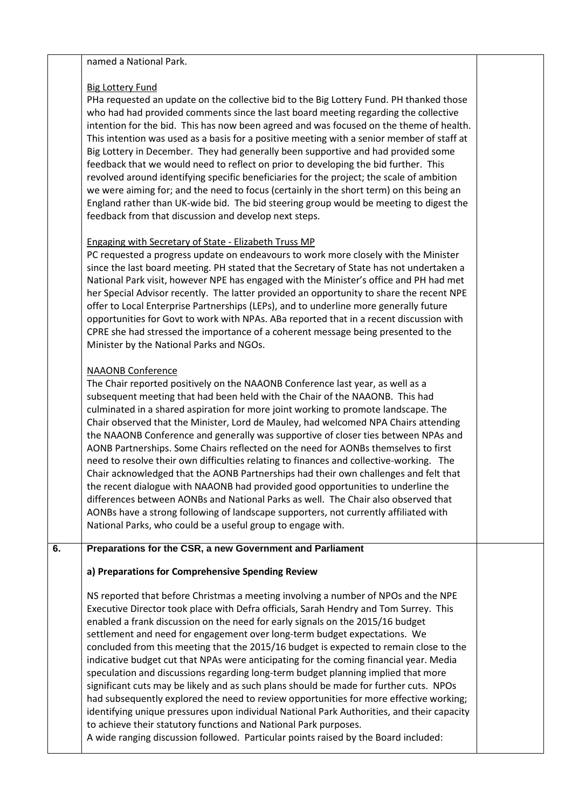#### named a National Park.

### Big Lottery Fund

PHa requested an update on the collective bid to the Big Lottery Fund. PH thanked those who had had provided comments since the last board meeting regarding the collective intention for the bid. This has now been agreed and was focused on the theme of health. This intention was used as a basis for a positive meeting with a senior member of staff at Big Lottery in December. They had generally been supportive and had provided some feedback that we would need to reflect on prior to developing the bid further. This revolved around identifying specific beneficiaries for the project; the scale of ambition we were aiming for; and the need to focus (certainly in the short term) on this being an England rather than UK-wide bid. The bid steering group would be meeting to digest the feedback from that discussion and develop next steps.

### Engaging with Secretary of State - Elizabeth Truss MP

PC requested a progress update on endeavours to work more closely with the Minister since the last board meeting. PH stated that the Secretary of State has not undertaken a National Park visit, however NPE has engaged with the Minister's office and PH had met her Special Advisor recently. The latter provided an opportunity to share the recent NPE offer to Local Enterprise Partnerships (LEPs), and to underline more generally future opportunities for Govt to work with NPAs. ABa reported that in a recent discussion with CPRE she had stressed the importance of a coherent message being presented to the Minister by the National Parks and NGOs.

### NAAONB Conference

The Chair reported positively on the NAAONB Conference last year, as well as a subsequent meeting that had been held with the Chair of the NAAONB. This had culminated in a shared aspiration for more joint working to promote landscape. The Chair observed that the Minister, Lord de Mauley, had welcomed NPA Chairs attending the NAAONB Conference and generally was supportive of closer ties between NPAs and AONB Partnerships. Some Chairs reflected on the need for AONBs themselves to first need to resolve their own difficulties relating to finances and collective-working. The Chair acknowledged that the AONB Partnerships had their own challenges and felt that the recent dialogue with NAAONB had provided good opportunities to underline the differences between AONBs and National Parks as well. The Chair also observed that AONBs have a strong following of landscape supporters, not currently affiliated with National Parks, who could be a useful group to engage with.

### **6. Preparations for the CSR, a new Government and Parliament**

### **a) Preparations for Comprehensive Spending Review**

NS reported that before Christmas a meeting involving a number of NPOs and the NPE Executive Director took place with Defra officials, Sarah Hendry and Tom Surrey. This enabled a frank discussion on the need for early signals on the 2015/16 budget settlement and need for engagement over long-term budget expectations. We concluded from this meeting that the 2015/16 budget is expected to remain close to the indicative budget cut that NPAs were anticipating for the coming financial year. Media speculation and discussions regarding long-term budget planning implied that more significant cuts may be likely and as such plans should be made for further cuts. NPOs had subsequently explored the need to review opportunities for more effective working; identifying unique pressures upon individual National Park Authorities, and their capacity to achieve their statutory functions and National Park purposes. A wide ranging discussion followed. Particular points raised by the Board included: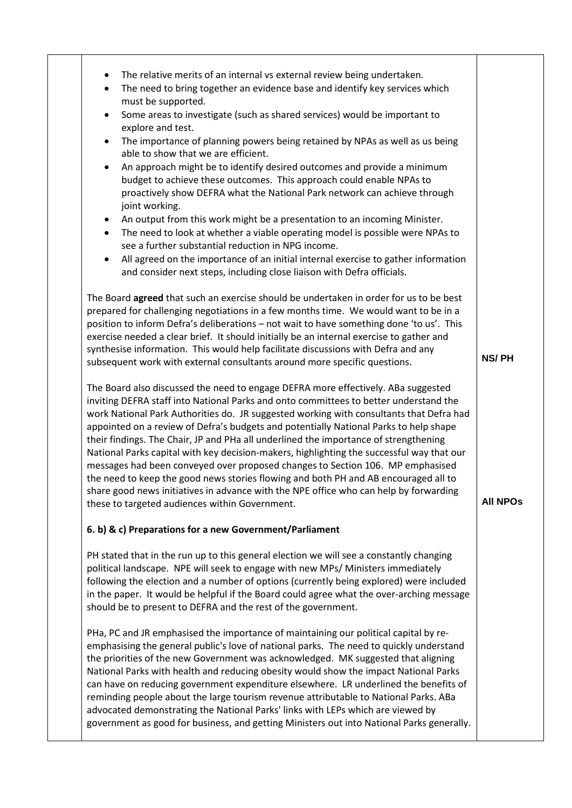| The relative merits of an internal vs external review being undertaken.<br>$\bullet$                                                                                                                                                                                                                                                                                                                                                                                                                                                                                                                                                                                                                                                                                                                                                                                    |                 |
|-------------------------------------------------------------------------------------------------------------------------------------------------------------------------------------------------------------------------------------------------------------------------------------------------------------------------------------------------------------------------------------------------------------------------------------------------------------------------------------------------------------------------------------------------------------------------------------------------------------------------------------------------------------------------------------------------------------------------------------------------------------------------------------------------------------------------------------------------------------------------|-----------------|
| The need to bring together an evidence base and identify key services which<br>$\bullet$<br>must be supported.                                                                                                                                                                                                                                                                                                                                                                                                                                                                                                                                                                                                                                                                                                                                                          |                 |
| Some areas to investigate (such as shared services) would be important to<br>$\bullet$<br>explore and test.                                                                                                                                                                                                                                                                                                                                                                                                                                                                                                                                                                                                                                                                                                                                                             |                 |
| The importance of planning powers being retained by NPAs as well as us being<br>$\bullet$<br>able to show that we are efficient.                                                                                                                                                                                                                                                                                                                                                                                                                                                                                                                                                                                                                                                                                                                                        |                 |
| An approach might be to identify desired outcomes and provide a minimum<br>$\bullet$<br>budget to achieve these outcomes. This approach could enable NPAs to<br>proactively show DEFRA what the National Park network can achieve through<br>joint working.                                                                                                                                                                                                                                                                                                                                                                                                                                                                                                                                                                                                             |                 |
| An output from this work might be a presentation to an incoming Minister.<br>$\bullet$<br>The need to look at whether a viable operating model is possible were NPAs to<br>$\bullet$<br>see a further substantial reduction in NPG income.                                                                                                                                                                                                                                                                                                                                                                                                                                                                                                                                                                                                                              |                 |
| All agreed on the importance of an initial internal exercise to gather information<br>$\bullet$<br>and consider next steps, including close liaison with Defra officials.                                                                                                                                                                                                                                                                                                                                                                                                                                                                                                                                                                                                                                                                                               |                 |
| The Board agreed that such an exercise should be undertaken in order for us to be best<br>prepared for challenging negotiations in a few months time. We would want to be in a<br>position to inform Defra's deliberations - not wait to have something done 'to us'. This<br>exercise needed a clear brief. It should initially be an internal exercise to gather and<br>synthesise information. This would help facilitate discussions with Defra and any<br>subsequent work with external consultants around more specific questions.                                                                                                                                                                                                                                                                                                                                | NS/PH           |
| The Board also discussed the need to engage DEFRA more effectively. ABa suggested<br>inviting DEFRA staff into National Parks and onto committees to better understand the<br>work National Park Authorities do. JR suggested working with consultants that Defra had<br>appointed on a review of Defra's budgets and potentially National Parks to help shape<br>their findings. The Chair, JP and PHa all underlined the importance of strengthening<br>National Parks capital with key decision-makers, highlighting the successful way that our<br>messages had been conveyed over proposed changes to Section 106. MP emphasised<br>the need to keep the good news stories flowing and both PH and AB encouraged all to<br>share good news initiatives in advance with the NPE office who can help by forwarding<br>these to targeted audiences within Government. | <b>All NPOS</b> |
| 6. b) & c) Preparations for a new Government/Parliament                                                                                                                                                                                                                                                                                                                                                                                                                                                                                                                                                                                                                                                                                                                                                                                                                 |                 |
| PH stated that in the run up to this general election we will see a constantly changing<br>political landscape. NPE will seek to engage with new MPs/ Ministers immediately                                                                                                                                                                                                                                                                                                                                                                                                                                                                                                                                                                                                                                                                                             |                 |
| following the election and a number of options (currently being explored) were included<br>in the paper. It would be helpful if the Board could agree what the over-arching message<br>should be to present to DEFRA and the rest of the government.                                                                                                                                                                                                                                                                                                                                                                                                                                                                                                                                                                                                                    |                 |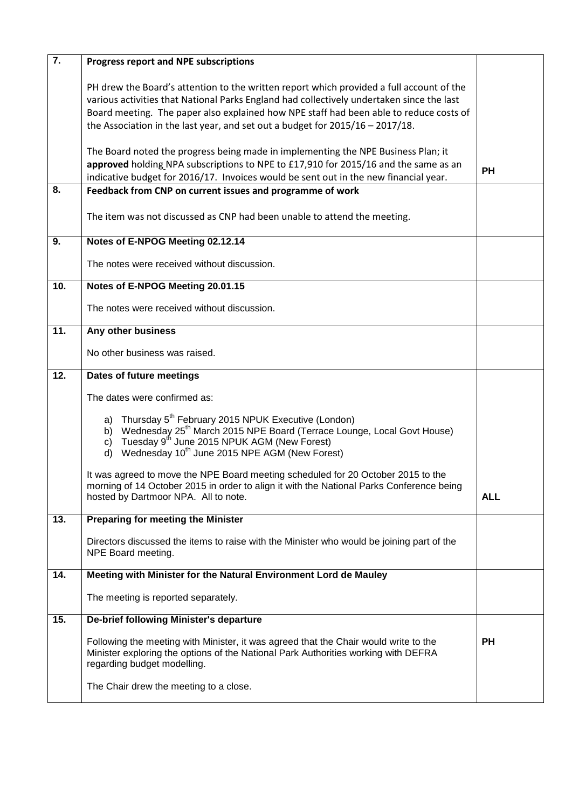| $\overline{7}$ . | Progress report and NPE subscriptions                                                                                                                                                                                                                                                                                                                               |            |
|------------------|---------------------------------------------------------------------------------------------------------------------------------------------------------------------------------------------------------------------------------------------------------------------------------------------------------------------------------------------------------------------|------------|
|                  | PH drew the Board's attention to the written report which provided a full account of the<br>various activities that National Parks England had collectively undertaken since the last<br>Board meeting. The paper also explained how NPE staff had been able to reduce costs of<br>the Association in the last year, and set out a budget for $2015/16 - 2017/18$ . |            |
|                  | The Board noted the progress being made in implementing the NPE Business Plan; it<br>approved holding NPA subscriptions to NPE to £17,910 for 2015/16 and the same as an<br>indicative budget for 2016/17. Invoices would be sent out in the new financial year.                                                                                                    | <b>PH</b>  |
| 8.               | Feedback from CNP on current issues and programme of work                                                                                                                                                                                                                                                                                                           |            |
|                  | The item was not discussed as CNP had been unable to attend the meeting.                                                                                                                                                                                                                                                                                            |            |
| 9.               | Notes of E-NPOG Meeting 02.12.14                                                                                                                                                                                                                                                                                                                                    |            |
|                  | The notes were received without discussion.                                                                                                                                                                                                                                                                                                                         |            |
| 10.              | Notes of E-NPOG Meeting 20.01.15                                                                                                                                                                                                                                                                                                                                    |            |
|                  | The notes were received without discussion.                                                                                                                                                                                                                                                                                                                         |            |
| 11.              | Any other business                                                                                                                                                                                                                                                                                                                                                  |            |
|                  | No other business was raised.                                                                                                                                                                                                                                                                                                                                       |            |
| 12.              | Dates of future meetings                                                                                                                                                                                                                                                                                                                                            |            |
|                  | The dates were confirmed as:                                                                                                                                                                                                                                                                                                                                        |            |
|                  | a) Thursday 5 <sup>th</sup> February 2015 NPUK Executive (London)<br>b) Wednesday 25 <sup>th</sup> March 2015 NPE Board (Terrace Lounge, Local Govt House)<br>c) Tuesday $9^{th}$ June 2015 NPUK AGM (New Forest)<br>d) Wednesday 10 <sup>th</sup> June 2015 NPE AGM (New Forest)                                                                                   |            |
|                  | It was agreed to move the NPE Board meeting scheduled for 20 October 2015 to the<br>morning of 14 October 2015 in order to align it with the National Parks Conference being<br>hosted by Dartmoor NPA. All to note.                                                                                                                                                | <b>ALL</b> |
| 13.              | Preparing for meeting the Minister                                                                                                                                                                                                                                                                                                                                  |            |
|                  | Directors discussed the items to raise with the Minister who would be joining part of the<br>NPE Board meeting.                                                                                                                                                                                                                                                     |            |
| 14.              | Meeting with Minister for the Natural Environment Lord de Mauley                                                                                                                                                                                                                                                                                                    |            |
|                  | The meeting is reported separately.                                                                                                                                                                                                                                                                                                                                 |            |
| 15.              | De-brief following Minister's departure                                                                                                                                                                                                                                                                                                                             |            |
|                  | Following the meeting with Minister, it was agreed that the Chair would write to the<br>Minister exploring the options of the National Park Authorities working with DEFRA<br>regarding budget modelling.                                                                                                                                                           | <b>PH</b>  |
|                  | The Chair drew the meeting to a close.                                                                                                                                                                                                                                                                                                                              |            |